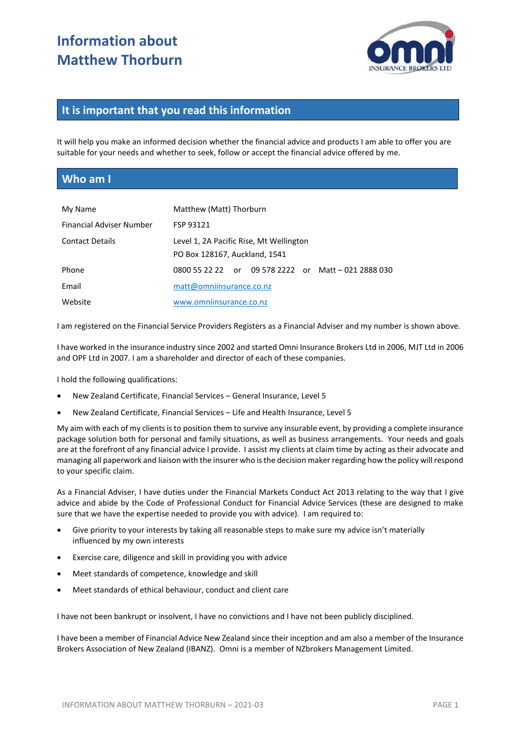# **Information about Matthew Thorburn**



#### **It is important that you read this information**

It will help you make an informed decision whether the financial advice and products I am able to offer you are suitable for your needs and whether to seek, follow or accept the financial advice offered by me.

#### **Who am I**

| My Name                         | Matthew (Matt) Thorburn                                                  |  |
|---------------------------------|--------------------------------------------------------------------------|--|
| <b>Financial Adviser Number</b> | FSP 93121                                                                |  |
| <b>Contact Details</b>          | Level 1, 2A Pacific Rise, Mt Wellington<br>PO Box 128167, Auckland, 1541 |  |
| Phone                           | or 09 578 2222 or Matt - 021 2888 030<br>0800 55 22 22                   |  |
| Email                           | matt@omniinsurance.co.nz                                                 |  |
| Website                         | www.omniinsurance.co.nz                                                  |  |

I am registered on the Financial Service Providers Registers as a Financial Adviser and my number is shown above.

I have worked in the insurance industry since 2002 and started Omni Insurance Brokers Ltd in 2006, MJT Ltd in 2006 and OPF Ltd in 2007. I am a shareholder and director of each of these companies.

I hold the following qualifications:

- New Zealand Certificate, Financial Services General Insurance, Level 5
- New Zealand Certificate, Financial Services Life and Health Insurance, Level 5

My aim with each of my clients is to position them to survive any insurable event, by providing a complete insurance package solution both for personal and family situations, as well as business arrangements. Your needs and goals are at the forefront of any financial advice I provide. I assist my clients at claim time by acting as their advocate and managing all paperwork and liaison with the insurer who is the decision maker regarding how the policy will respond to your specific claim.

As a Financial Adviser, I have duties under the Financial Markets Conduct Act 2013 relating to the way that I give advice and abide by the Code of Professional Conduct for Financial Advice Services (these are designed to make sure that we have the expertise needed to provide you with advice). I am required to:

- Give priority to your interests by taking all reasonable steps to make sure my advice isn't materially influenced by my own interests
- Exercise care, diligence and skill in providing you with advice
- Meet standards of competence, knowledge and skill
- Meet standards of ethical behaviour, conduct and client care

I have not been bankrupt or insolvent, I have no convictions and I have not been publicly disciplined.

I have been a member of Financial Advice New Zealand since their inception and am also a member of the Insurance Brokers Association of New Zealand (IBANZ). Omni is a member of NZbrokers Management Limited.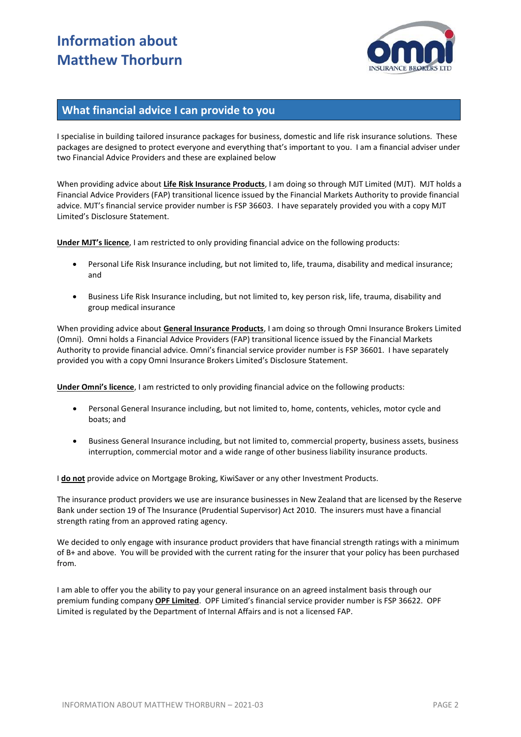# **Information about Matthew Thorburn**



#### **What financial advice I can provide to you**

I specialise in building tailored insurance packages for business, domestic and life risk insurance solutions. These packages are designed to protect everyone and everything that's important to you. I am a financial adviser under two Financial Advice Providers and these are explained below

When providing advice about **Life Risk Insurance Products**, I am doing so through MJT Limited (MJT). MJT holds a Financial Advice Providers (FAP) transitional licence issued by the Financial Markets Authority to provide financial advice. MJT's financial service provider number is FSP 36603. I have separately provided you with a copy MJT Limited's Disclosure Statement.

**Under MJT's licence**, I am restricted to only providing financial advice on the following products:

- Personal Life Risk Insurance including, but not limited to, life, trauma, disability and medical insurance; and
- Business Life Risk Insurance including, but not limited to, key person risk, life, trauma, disability and group medical insurance

When providing advice about **General Insurance Products**, I am doing so through Omni Insurance Brokers Limited (Omni). Omni holds a Financial Advice Providers (FAP) transitional licence issued by the Financial Markets Authority to provide financial advice. Omni's financial service provider number is FSP 36601. I have separately provided you with a copy Omni Insurance Brokers Limited's Disclosure Statement.

**Under Omni's licence**, I am restricted to only providing financial advice on the following products:

- Personal General Insurance including, but not limited to, home, contents, vehicles, motor cycle and boats; and
- Business General Insurance including, but not limited to, commercial property, business assets, business interruption, commercial motor and a wide range of other business liability insurance products.

I **do not** provide advice on Mortgage Broking, KiwiSaver or any other Investment Products.

The insurance product providers we use are insurance businesses in New Zealand that are licensed by the Reserve Bank under section 19 of The Insurance (Prudential Supervisor) Act 2010. The insurers must have a financial strength rating from an approved rating agency.

We decided to only engage with insurance product providers that have financial strength ratings with a minimum of B+ and above. You will be provided with the current rating for the insurer that your policy has been purchased from.

I am able to offer you the ability to pay your general insurance on an agreed instalment basis through our premium funding company **OPF Limited**. OPF Limited's financial service provider number is FSP 36622. OPF Limited is regulated by the Department of Internal Affairs and is not a licensed FAP.